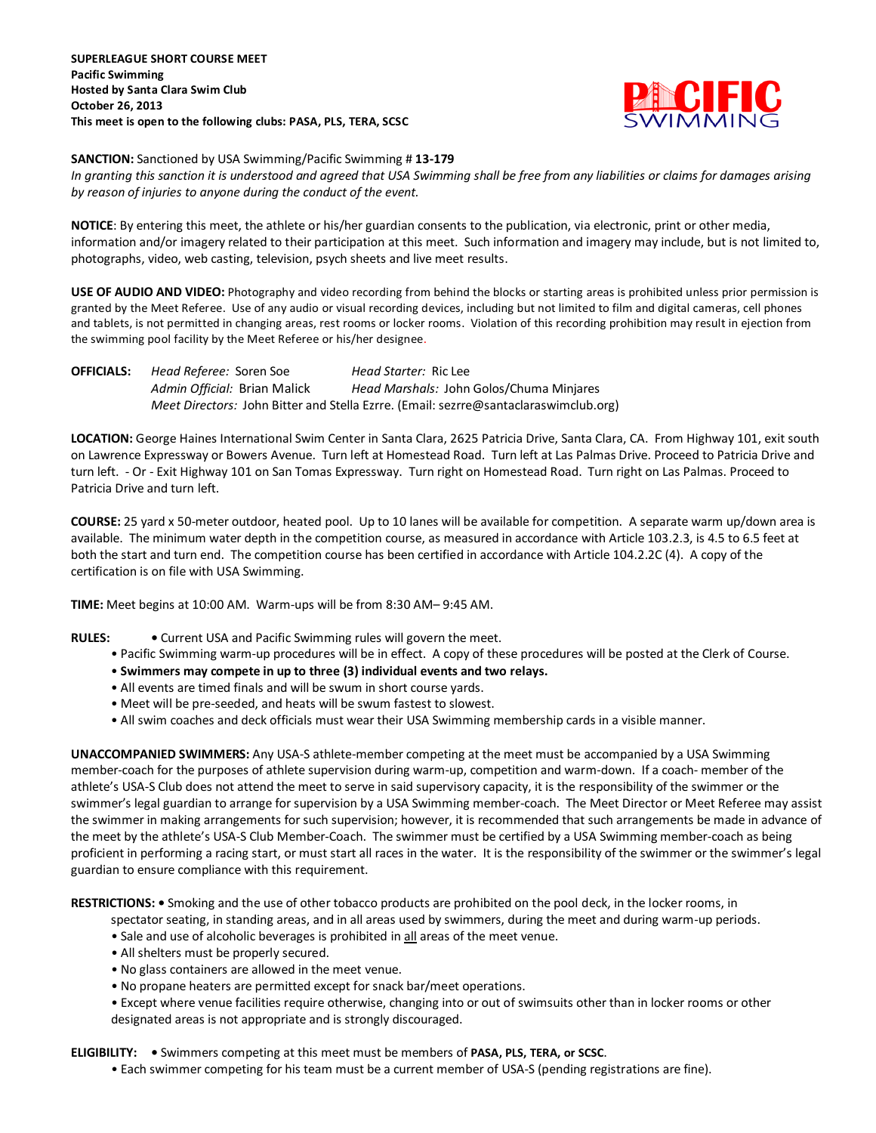

**SANCTION:** Sanctioned by USA Swimming/Pacific Swimming # **13-179**

*In granting this sanction it is understood and agreed that USA Swimming shall be free from any liabilities or claims for damages arising by reason of injuries to anyone during the conduct of the event.*

**NOTICE**: By entering this meet, the athlete or his/her guardian consents to the publication, via electronic, print or other media, information and/or imagery related to their participation at this meet. Such information and imagery may include, but is not limited to, photographs, video, web casting, television, psych sheets and live meet results.

**USE OF AUDIO AND VIDEO:** Photography and video recording from behind the blocks or starting areas is prohibited unless prior permission is granted by the Meet Referee. Use of any audio or visual recording devices, including but not limited to film and digital cameras, cell phones and tablets, is not permitted in changing areas, rest rooms or locker rooms. Violation of this recording prohibition may result in ejection from the swimming pool facility by the Meet Referee or his/her designee.

**OFFICIALS:** *Head Referee:* Soren Soe *Head Starter:* Ric Lee *Admin Official:* Brian Malick *Head Marshals:* John Golos/Chuma Minjares *Meet Directors:* John Bitter and Stella Ezrre. (Email: sezrre@santaclaraswimclub.org)

**LOCATION:** George Haines International Swim Center in Santa Clara, 2625 Patricia Drive, Santa Clara, CA. From Highway 101, exit south on Lawrence Expressway or Bowers Avenue. Turn left at Homestead Road. Turn left at Las Palmas Drive. Proceed to Patricia Drive and turn left. - Or - Exit Highway 101 on San Tomas Expressway. Turn right on Homestead Road. Turn right on Las Palmas. Proceed to Patricia Drive and turn left.

**COURSE:** 25 yard x 50-meter outdoor, heated pool. Up to 10 lanes will be available for competition. A separate warm up/down area is available. The minimum water depth in the competition course, as measured in accordance with Article 103.2.3, is 4.5 to 6.5 feet at both the start and turn end. The competition course has been certified in accordance with Article 104.2.2C (4). A copy of the certification is on file with USA Swimming.

**TIME:** Meet begins at 10:00 AM. Warm-ups will be from 8:30 AM– 9:45 AM.

**RULES: •** Current USA and Pacific Swimming rules will govern the meet.

- Pacific Swimming warm-up procedures will be in effect. A copy of these procedures will be posted at the Clerk of Course.
- **Swimmers may compete in up to three (3) individual events and two relays.**
- All events are timed finals and will be swum in short course yards.
- Meet will be pre-seeded, and heats will be swum fastest to slowest.
- All swim coaches and deck officials must wear their USA Swimming membership cards in a visible manner.

**UNACCOMPANIED SWIMMERS:** Any USA-S athlete-member competing at the meet must be accompanied by a USA Swimming member-coach for the purposes of athlete supervision during warm-up, competition and warm-down. If a coach- member of the athlete's USA-S Club does not attend the meet to serve in said supervisory capacity, it is the responsibility of the swimmer or the swimmer's legal guardian to arrange for supervision by a USA Swimming member-coach. The Meet Director or Meet Referee may assist the swimmer in making arrangements for such supervision; however, it is recommended that such arrangements be made in advance of the meet by the athlete's USA-S Club Member-Coach. The swimmer must be certified by a USA Swimming member-coach as being proficient in performing a racing start, or must start all races in the water. It is the responsibility of the swimmer or the swimmer's legal guardian to ensure compliance with this requirement.

**RESTRICTIONS: •** Smoking and the use of other tobacco products are prohibited on the pool deck, in the locker rooms, in

spectator seating, in standing areas, and in all areas used by swimmers, during the meet and during warm-up periods.

- Sale and use of alcoholic beverages is prohibited in all areas of the meet venue.
- All shelters must be properly secured.
- No glass containers are allowed in the meet venue.
- No propane heaters are permitted except for snack bar/meet operations.

• Except where venue facilities require otherwise, changing into or out of swimsuits other than in locker rooms or other designated areas is not appropriate and is strongly discouraged.

**ELIGIBILITY: •** Swimmers competing at this meet must be members of **PASA, PLS, TERA, or SCSC**.

• Each swimmer competing for his team must be a current member of USA-S (pending registrations are fine).